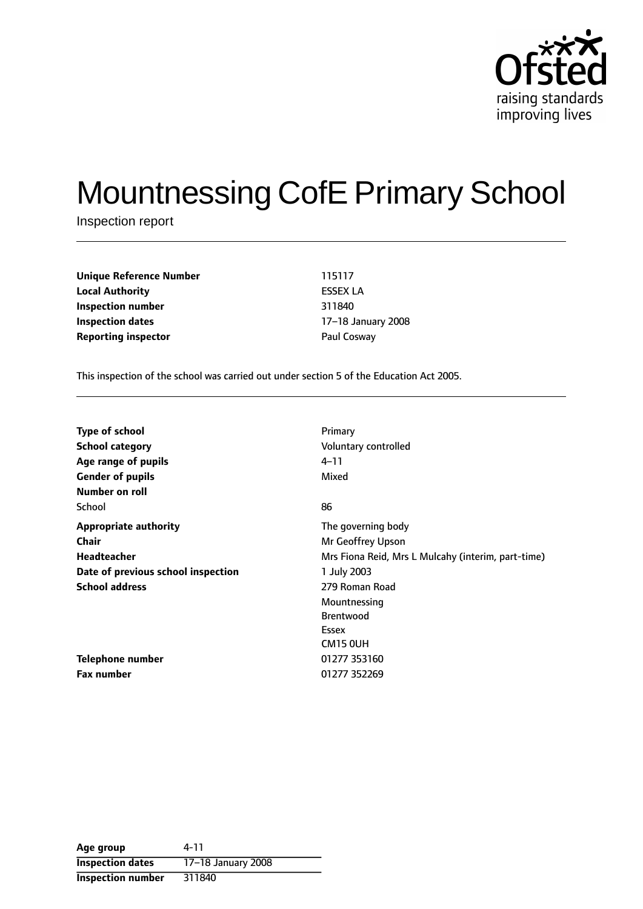

# Mountnessing CofE Primary School

Inspection report

**Unique Reference Number** 115117 **Local Authority** ESSEX LA **Inspection number** 311840 **Inspection dates** 17-18 January 2008 **Reporting inspector Contract Paul Cosway** 

This inspection of the school was carried out under section 5 of the Education Act 2005.

| <b>Type of school</b>              | Primary                                            |
|------------------------------------|----------------------------------------------------|
| <b>School category</b>             | Voluntary controlled                               |
| Age range of pupils                | $4 - 11$                                           |
| <b>Gender of pupils</b>            | Mixed                                              |
| Number on roll                     |                                                    |
| School                             | 86                                                 |
| <b>Appropriate authority</b>       | The governing body                                 |
| Chair                              | Mr Geoffrey Upson                                  |
| <b>Headteacher</b>                 | Mrs Fiona Reid, Mrs L Mulcahy (interim, part-time) |
| Date of previous school inspection | 1 July 2003                                        |
| <b>School address</b>              | 279 Roman Road                                     |
|                                    | Mountnessing                                       |
|                                    | <b>Brentwood</b>                                   |
|                                    | Essex                                              |
|                                    | CM15 OUH                                           |
| Telephone number                   | 01277 353160                                       |
| <b>Fax number</b>                  | 01277 352269                                       |
|                                    |                                                    |

| Age group                | 4-11               |
|--------------------------|--------------------|
| <b>Inspection dates</b>  | 17-18 January 2008 |
| <b>Inspection number</b> | 311840             |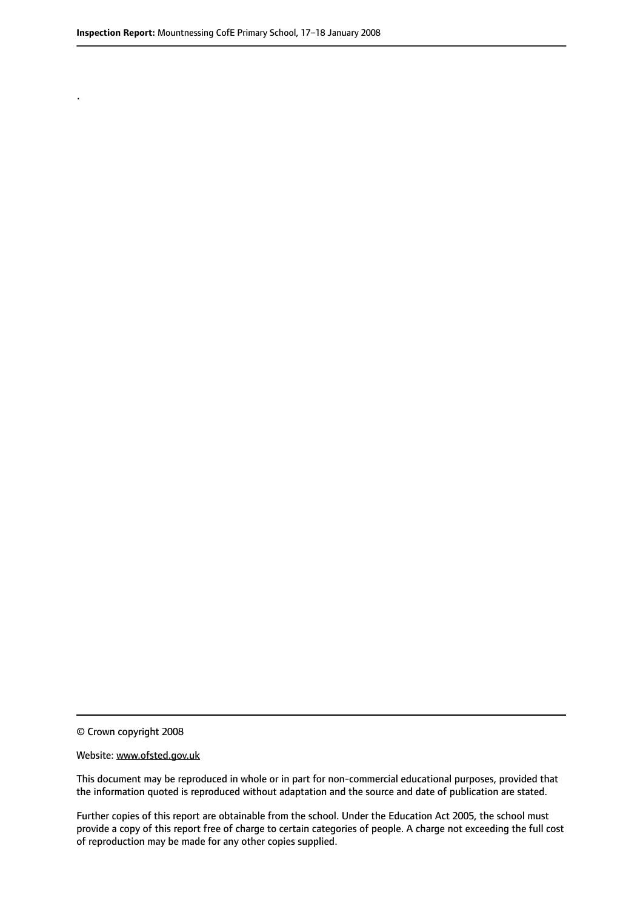.

© Crown copyright 2008

#### Website: www.ofsted.gov.uk

This document may be reproduced in whole or in part for non-commercial educational purposes, provided that the information quoted is reproduced without adaptation and the source and date of publication are stated.

Further copies of this report are obtainable from the school. Under the Education Act 2005, the school must provide a copy of this report free of charge to certain categories of people. A charge not exceeding the full cost of reproduction may be made for any other copies supplied.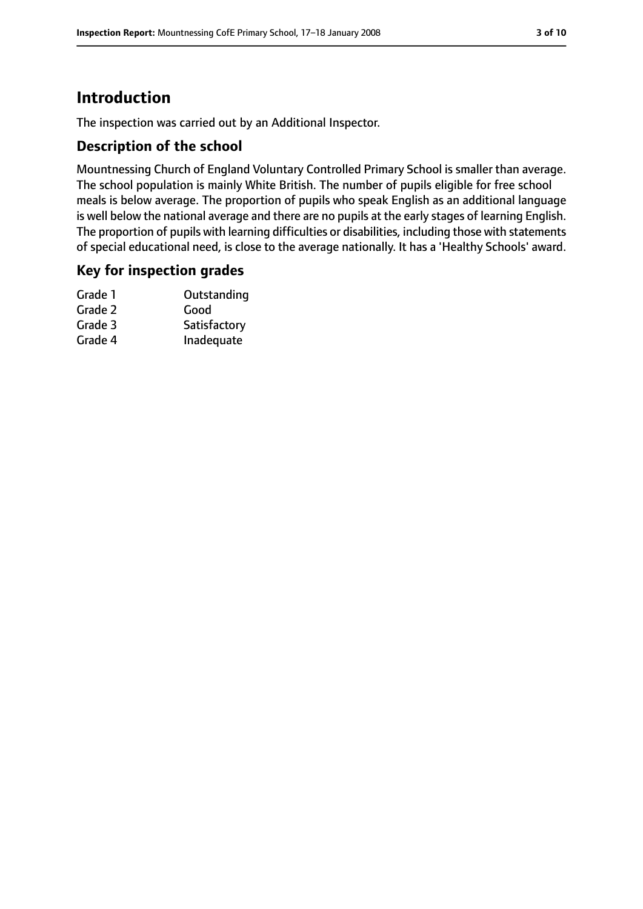# **Introduction**

The inspection was carried out by an Additional Inspector.

## **Description of the school**

Mountnessing Church of England Voluntary Controlled Primary School is smaller than average. The school population is mainly White British. The number of pupils eligible for free school meals is below average. The proportion of pupils who speak English as an additional language is well below the national average and there are no pupils at the early stages of learning English. The proportion of pupils with learning difficulties or disabilities, including those with statements of special educational need, is close to the average nationally. It has a 'Healthy Schools' award.

## **Key for inspection grades**

| Grade 1 | Outstanding  |
|---------|--------------|
| Grade 2 | Good         |
| Grade 3 | Satisfactory |
| Grade 4 | Inadequate   |
|         |              |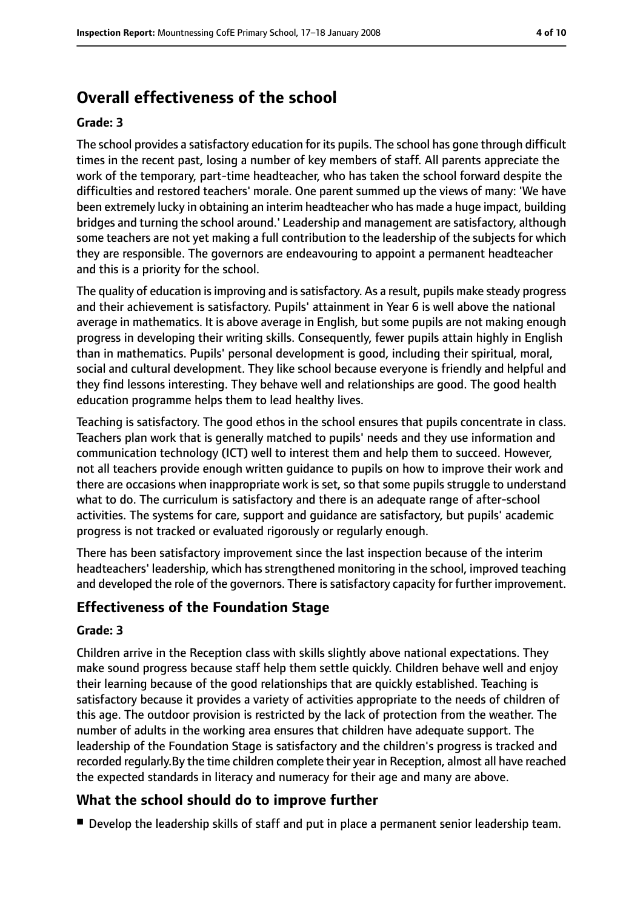# **Overall effectiveness of the school**

#### **Grade: 3**

The school provides a satisfactory education for its pupils. The school has gone through difficult times in the recent past, losing a number of key members of staff. All parents appreciate the work of the temporary, part-time headteacher, who has taken the school forward despite the difficulties and restored teachers' morale. One parent summed up the views of many: 'We have been extremely lucky in obtaining an interim headteacher who has made a huge impact, building bridges and turning the school around.' Leadership and management are satisfactory, although some teachers are not yet making a full contribution to the leadership of the subjects for which they are responsible. The governors are endeavouring to appoint a permanent headteacher and this is a priority for the school.

The quality of education is improving and is satisfactory. As a result, pupils make steady progress and their achievement is satisfactory. Pupils' attainment in Year 6 is well above the national average in mathematics. It is above average in English, but some pupils are not making enough progress in developing their writing skills. Consequently, fewer pupils attain highly in English than in mathematics. Pupils' personal development is good, including their spiritual, moral, social and cultural development. They like school because everyone is friendly and helpful and they find lessons interesting. They behave well and relationships are good. The good health education programme helps them to lead healthy lives.

Teaching is satisfactory. The good ethos in the school ensures that pupils concentrate in class. Teachers plan work that is generally matched to pupils' needs and they use information and communication technology (ICT) well to interest them and help them to succeed. However, not all teachers provide enough written guidance to pupils on how to improve their work and there are occasions when inappropriate work is set, so that some pupils struggle to understand what to do. The curriculum is satisfactory and there is an adequate range of after-school activities. The systems for care, support and guidance are satisfactory, but pupils' academic progress is not tracked or evaluated rigorously or regularly enough.

There has been satisfactory improvement since the last inspection because of the interim headteachers' leadership, which has strengthened monitoring in the school, improved teaching and developed the role of the governors. There is satisfactory capacity for further improvement.

## **Effectiveness of the Foundation Stage**

#### **Grade: 3**

Children arrive in the Reception class with skills slightly above national expectations. They make sound progress because staff help them settle quickly. Children behave well and enjoy their learning because of the good relationships that are quickly established. Teaching is satisfactory because it provides a variety of activities appropriate to the needs of children of this age. The outdoor provision is restricted by the lack of protection from the weather. The number of adults in the working area ensures that children have adequate support. The leadership of the Foundation Stage is satisfactory and the children's progress is tracked and recorded regularly.By the time children complete their year in Reception, almost all have reached the expected standards in literacy and numeracy for their age and many are above.

## **What the school should do to improve further**

■ Develop the leadership skills of staff and put in place a permanent senior leadership team.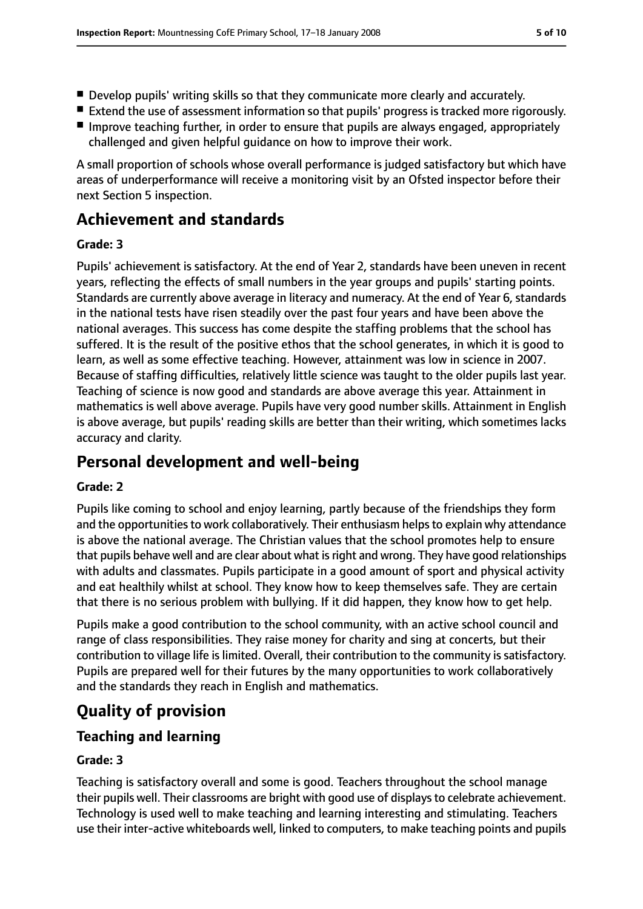- Develop pupils' writing skills so that they communicate more clearly and accurately.
- Extend the use of assessment information so that pupils' progress is tracked more rigorously.
- Improve teaching further, in order to ensure that pupils are always engaged, appropriately challenged and given helpful guidance on how to improve their work.

A small proportion of schools whose overall performance is judged satisfactory but which have areas of underperformance will receive a monitoring visit by an Ofsted inspector before their next Section 5 inspection.

# **Achievement and standards**

#### **Grade: 3**

Pupils' achievement is satisfactory. At the end of Year 2, standards have been uneven in recent years, reflecting the effects of small numbers in the year groups and pupils' starting points. Standards are currently above average in literacy and numeracy. At the end of Year 6, standards in the national tests have risen steadily over the past four years and have been above the national averages. This success has come despite the staffing problems that the school has suffered. It is the result of the positive ethos that the school generates, in which it is good to learn, as well as some effective teaching. However, attainment was low in science in 2007. Because of staffing difficulties, relatively little science was taught to the older pupils last year. Teaching of science is now good and standards are above average this year. Attainment in mathematics is well above average. Pupils have very good number skills. Attainment in English is above average, but pupils' reading skills are better than their writing, which sometimes lacks accuracy and clarity.

# **Personal development and well-being**

#### **Grade: 2**

Pupils like coming to school and enjoy learning, partly because of the friendships they form and the opportunities to work collaboratively. Their enthusiasm helps to explain why attendance is above the national average. The Christian values that the school promotes help to ensure that pupils behave well and are clear about what is right and wrong. They have good relationships with adults and classmates. Pupils participate in a good amount of sport and physical activity and eat healthily whilst at school. They know how to keep themselves safe. They are certain that there is no serious problem with bullying. If it did happen, they know how to get help.

Pupils make a good contribution to the school community, with an active school council and range of class responsibilities. They raise money for charity and sing at concerts, but their contribution to village life is limited. Overall, their contribution to the community is satisfactory. Pupils are prepared well for their futures by the many opportunities to work collaboratively and the standards they reach in English and mathematics.

# **Quality of provision**

## **Teaching and learning**

## **Grade: 3**

Teaching is satisfactory overall and some is good. Teachers throughout the school manage their pupils well. Their classrooms are bright with good use of displays to celebrate achievement. Technology is used well to make teaching and learning interesting and stimulating. Teachers use their inter-active whiteboards well, linked to computers, to make teaching points and pupils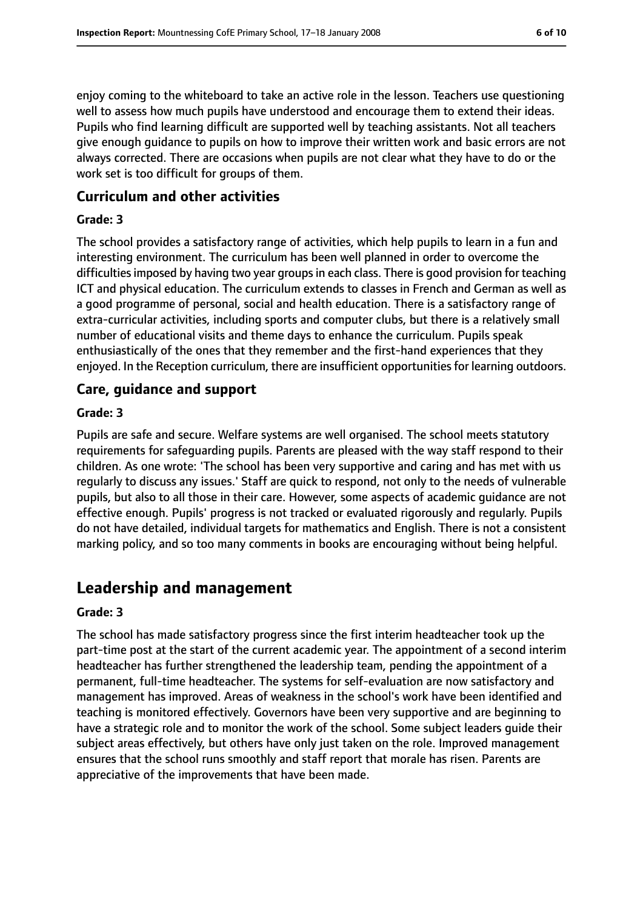enjoy coming to the whiteboard to take an active role in the lesson. Teachers use questioning well to assess how much pupils have understood and encourage them to extend their ideas. Pupils who find learning difficult are supported well by teaching assistants. Not all teachers give enough guidance to pupils on how to improve their written work and basic errors are not always corrected. There are occasions when pupils are not clear what they have to do or the work set is too difficult for groups of them.

## **Curriculum and other activities**

#### **Grade: 3**

The school provides a satisfactory range of activities, which help pupils to learn in a fun and interesting environment. The curriculum has been well planned in order to overcome the difficulties imposed by having two year groups in each class. There is good provision for teaching ICT and physical education. The curriculum extends to classes in French and German as well as a good programme of personal, social and health education. There is a satisfactory range of extra-curricular activities, including sports and computer clubs, but there is a relatively small number of educational visits and theme days to enhance the curriculum. Pupils speak enthusiastically of the ones that they remember and the first-hand experiences that they enjoyed. In the Reception curriculum, there are insufficient opportunities for learning outdoors.

#### **Care, guidance and support**

#### **Grade: 3**

Pupils are safe and secure. Welfare systems are well organised. The school meets statutory requirements for safeguarding pupils. Parents are pleased with the way staff respond to their children. As one wrote: 'The school has been very supportive and caring and has met with us regularly to discuss any issues.' Staff are quick to respond, not only to the needs of vulnerable pupils, but also to all those in their care. However, some aspects of academic guidance are not effective enough. Pupils' progress is not tracked or evaluated rigorously and regularly. Pupils do not have detailed, individual targets for mathematics and English. There is not a consistent marking policy, and so too many comments in books are encouraging without being helpful.

## **Leadership and management**

#### **Grade: 3**

The school has made satisfactory progress since the first interim headteacher took up the part-time post at the start of the current academic year. The appointment of a second interim headteacher has further strengthened the leadership team, pending the appointment of a permanent, full-time headteacher. The systems for self-evaluation are now satisfactory and management has improved. Areas of weakness in the school's work have been identified and teaching is monitored effectively. Governors have been very supportive and are beginning to have a strategic role and to monitor the work of the school. Some subject leaders guide their subject areas effectively, but others have only just taken on the role. Improved management ensures that the school runs smoothly and staff report that morale has risen. Parents are appreciative of the improvements that have been made.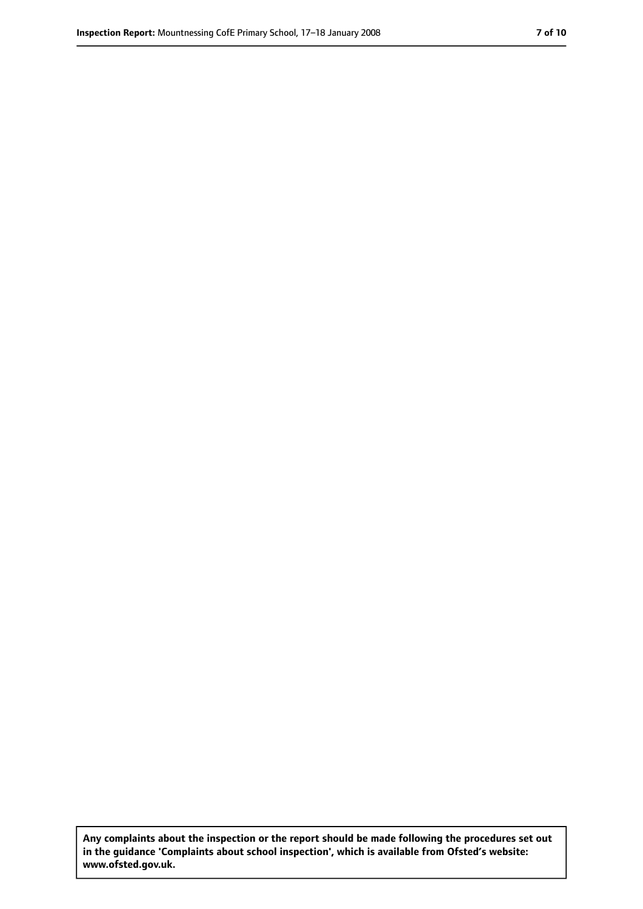**Any complaints about the inspection or the report should be made following the procedures set out in the guidance 'Complaints about school inspection', which is available from Ofsted's website: www.ofsted.gov.uk.**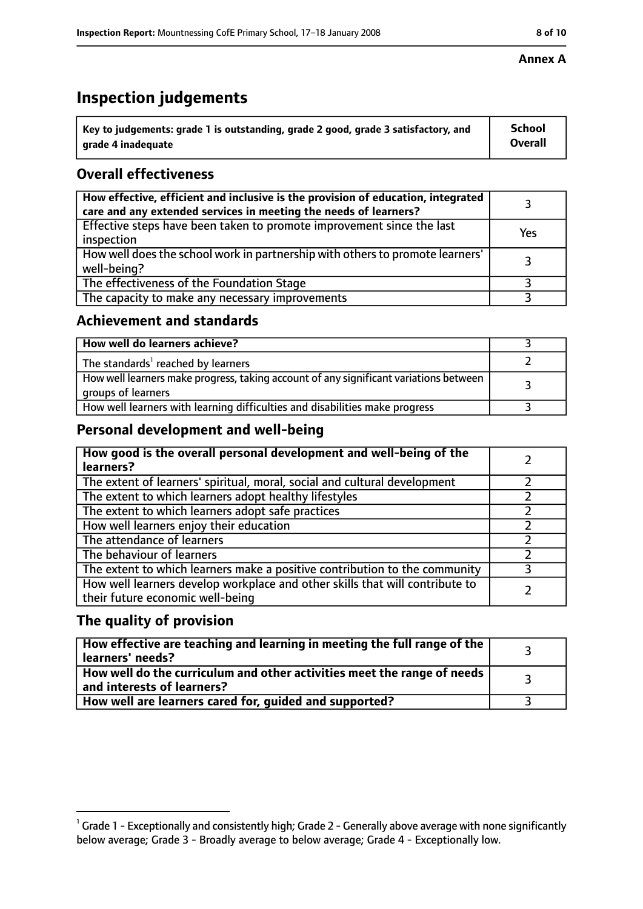# **Inspection judgements**

| $^{\backprime}$ Key to judgements: grade 1 is outstanding, grade 2 good, grade 3 satisfactory, and | <b>School</b>  |
|----------------------------------------------------------------------------------------------------|----------------|
| arade 4 inadeguate                                                                                 | <b>Overall</b> |

## **Overall effectiveness**

| How effective, efficient and inclusive is the provision of education, integrated<br>care and any extended services in meeting the needs of learners? |     |
|------------------------------------------------------------------------------------------------------------------------------------------------------|-----|
| Effective steps have been taken to promote improvement since the last<br>inspection                                                                  | Yes |
| How well does the school work in partnership with others to promote learners'<br>well-being?                                                         |     |
| The effectiveness of the Foundation Stage                                                                                                            |     |
| The capacity to make any necessary improvements                                                                                                      |     |

## **Achievement and standards**

| How well do learners achieve?                                                                               |  |
|-------------------------------------------------------------------------------------------------------------|--|
| The standards <sup>1</sup> reached by learners                                                              |  |
| How well learners make progress, taking account of any significant variations between<br>groups of learners |  |
| How well learners with learning difficulties and disabilities make progress                                 |  |

## **Personal development and well-being**

| How good is the overall personal development and well-being of the<br>learners?                                  |  |
|------------------------------------------------------------------------------------------------------------------|--|
| The extent of learners' spiritual, moral, social and cultural development                                        |  |
| The extent to which learners adopt healthy lifestyles                                                            |  |
| The extent to which learners adopt safe practices                                                                |  |
| How well learners enjoy their education                                                                          |  |
| The attendance of learners                                                                                       |  |
| The behaviour of learners                                                                                        |  |
| The extent to which learners make a positive contribution to the community                                       |  |
| How well learners develop workplace and other skills that will contribute to<br>their future economic well-being |  |

## **The quality of provision**

| How effective are teaching and learning in meeting the full range of the<br>learners' needs?          |  |
|-------------------------------------------------------------------------------------------------------|--|
| How well do the curriculum and other activities meet the range of needs<br>and interests of learners? |  |
| How well are learners cared for, guided and supported?                                                |  |

 $^1$  Grade 1 - Exceptionally and consistently high; Grade 2 - Generally above average with none significantly below average; Grade 3 - Broadly average to below average; Grade 4 - Exceptionally low.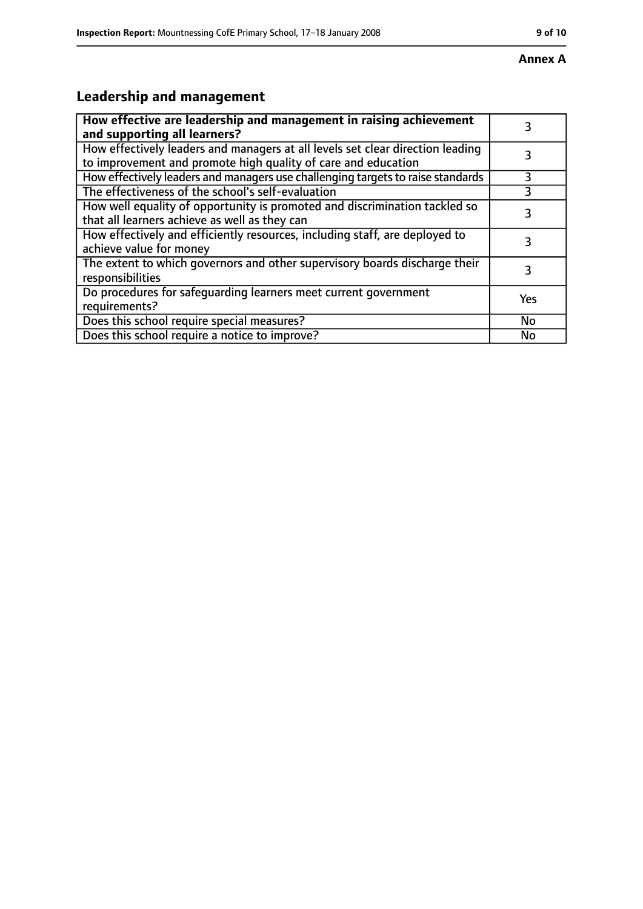# **Leadership and management**

| How effective are leadership and management in raising achievement<br>and supporting all learners?                                              |     |
|-------------------------------------------------------------------------------------------------------------------------------------------------|-----|
| How effectively leaders and managers at all levels set clear direction leading<br>to improvement and promote high quality of care and education |     |
| How effectively leaders and managers use challenging targets to raise standards                                                                 | 3   |
| The effectiveness of the school's self-evaluation                                                                                               | 3   |
| How well equality of opportunity is promoted and discrimination tackled so<br>that all learners achieve as well as they can                     | 3   |
| How effectively and efficiently resources, including staff, are deployed to<br>achieve value for money                                          | 3   |
| The extent to which governors and other supervisory boards discharge their<br>responsibilities                                                  | 3   |
| Do procedures for safequarding learners meet current government<br>requirements?                                                                | Yes |
| Does this school require special measures?                                                                                                      | No  |
| Does this school require a notice to improve?                                                                                                   | No  |